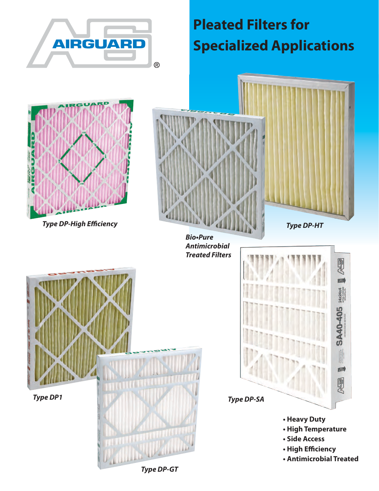

# **Pleated Filters for Specialized Applications**





**Bio•Pure Antimicrobial Treated Filters**





*Type DP-GT*

- **High Efficiency**
- **Antimicrobial Treated**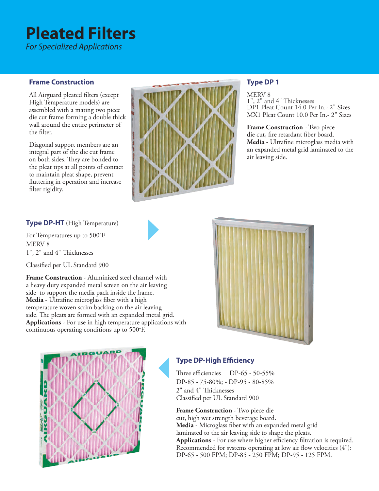# **Pleated Filters**

*For Specialized Applications*

#### **Frame Construction**

All Airguard pleated filters (except High Temperature models) are assembled with a mating two piece die cut frame forming a double thick wall around the entire perimeter of the filter.

Diagonal support members are an integral part of the die cut frame on both sides. They are bonded to the pleat tips at all points of contact to maintain pleat shape, prevent fluttering in operation and increase filter rigidity.



### **Type DP 1**

MERV 8<br>1", 2" and 4" Thicknesses DP1 Pleat Count 14.0 Per In.- 2" Sizes MX1 Pleat Count 10.0 Per In.- 2" Sizes

**Frame Construction** - Two piece die cut, fire retardant fiber board. **Media** - Ultrafine microglass media with an expanded metal grid laminated to the air leaving side.

#### **Type DP-HT** (High Temperature)

For Temperatures up to 500°F MERV 8 1", 2" and 4" Thicknesses

Classified per UL Standard 900

**Frame Construction** - Aluminized steel channel with a heavy duty expanded metal screen on the air leaving side to support the media pack inside the frame. **Media** - Ultrafine microglass fiber with a high temperature woven scrim backing on the air leaving side. The pleats are formed with an expanded metal grid. **Applications** - For use in high temperature applications with continuous operating conditions up to 500°F.





### **Type DP-High Efficiency**

Three efficiencies DP-65 - 50-55% DP-85 - 75-80%; - DP-95 - 80-85% 2" and 4" Thicknesses Classified per UL Standard 900

**Frame Construction** - Two piece die cut, high wet strength beverage board. **Media** - Microglass fiber with an expanded metal grid laminated to the air leaving side to shape the pleats. **Applications** - For use where higher efficiency filtration is required. Recommended for systems operating at low air flow velocities (4"): DP-65 - 500 FPM; DP-85 - 250 FPM; DP-95 - 125 FPM.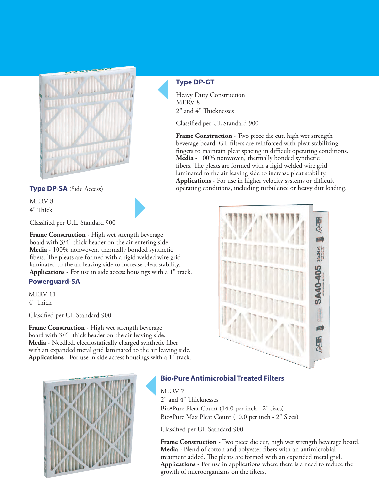

**Type DP-GT** Heavy Duty Construction

MERV 8

2" and 4" Thicknesses

Classified per UL Standard 900

**Frame Construction** - Two piece die cut, high wet strength beverage board. GT filters are reinforced with pleat stabilizing fingers to maintain pleat spacing in difficult operating conditions. **Media** - 100% nonwoven, thermally bonded synthetic fibers. The pleats are formed with a rigid welded wire grid laminated to the air leaving side to increase pleat stability. **Applications** - For use in higher velocity systems or difficult **Type DP-SA** (Side Access) operating conditions, including turbulence or heavy dirt loading.



MERV 8 4" Thick

Classified per U.L. Standard 900

**Frame Construction** - High wet strength beverage board with 3/4" thick header on the air entering side. **Media** - 100% nonwoven, thermally bonded synthetic fibers. The pleats are formed with a rigid welded wire grid laminated to the air leaving side to increase pleat stability. . **Applications** - For use in side access housings with a 1" track.

#### **Powerguard-SA**

MERV 11 4" Thick

Classified per UL Standard 900

**Frame Construction** - High wet strength beverage board with 3/4" thick header on the air leaving side. **Media** - Needled, electrostatically charged synthetic fiber with an expanded metal grid laminated to the air leaving side. **Applications** - For use in side access housings with a 1" track.



### **Bio•Pure Antimicrobial Treated Filters**

MERV 7 2" and 4" Thicknesses Bio•Pure Pleat Count (14.0 per inch - 2" sizes)

Bio•Pure Max Pleat Count (10.0 per inch - 2" Sizes)

Classified per UL Satndard 900

**Frame Construction** - Two piece die cut, high wet strength beverage board. **Media** - Blend of cotton and polyester fibers with an antimicrobial treatment added. The pleats are formed with an expanded metal grid. **Applications** - For use in applications where there is a need to reduce the growth of microorganisms on the filters.